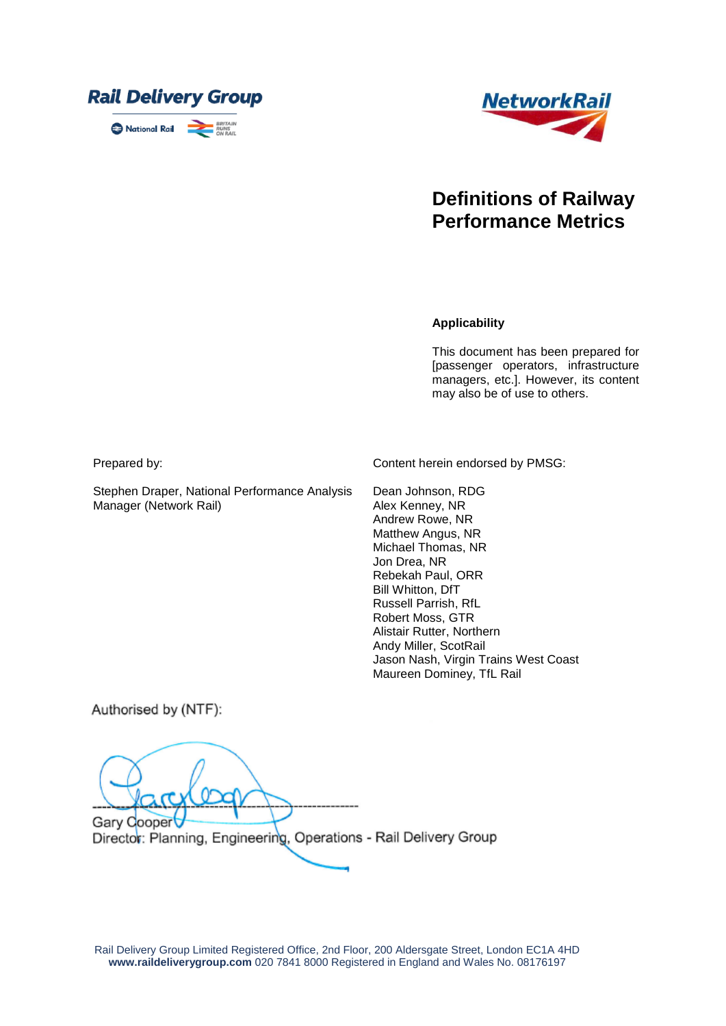



# **Definitions of Railway Performance Metrics**

#### **Applicability**

This document has been prepared for [passenger operators, infrastructure managers, etc.]. However, its content may also be of use to others.

Prepared by:

Stephen Draper, National Performance Analysis Manager (Network Rail)

Content herein endorsed by PMSG:

Dean Johnson, RDG Alex Kenney, NR Andrew Rowe, NR Matthew Angus, NR Michael Thomas, NR Jon Drea, NR Rebekah Paul, ORR Bill Whitton, DfT Russell Parrish, RfL Robert Moss, GTR Alistair Rutter, Northern Andy Miller, ScotRail Jason Nash, Virgin Trains West Coast Maureen Dominey, TfL Rail

Authorised by (NTF):

Gary Cooper Director: Planning, Engineering, Operations - Rail Delivery Group

Rail Delivery Group Limited Registered Office, 2nd Floor, 200 Aldersgate Street, London EC1A 4HD **www.raildeliverygroup.com** 020 7841 8000 Registered in England and Wales No. 08176197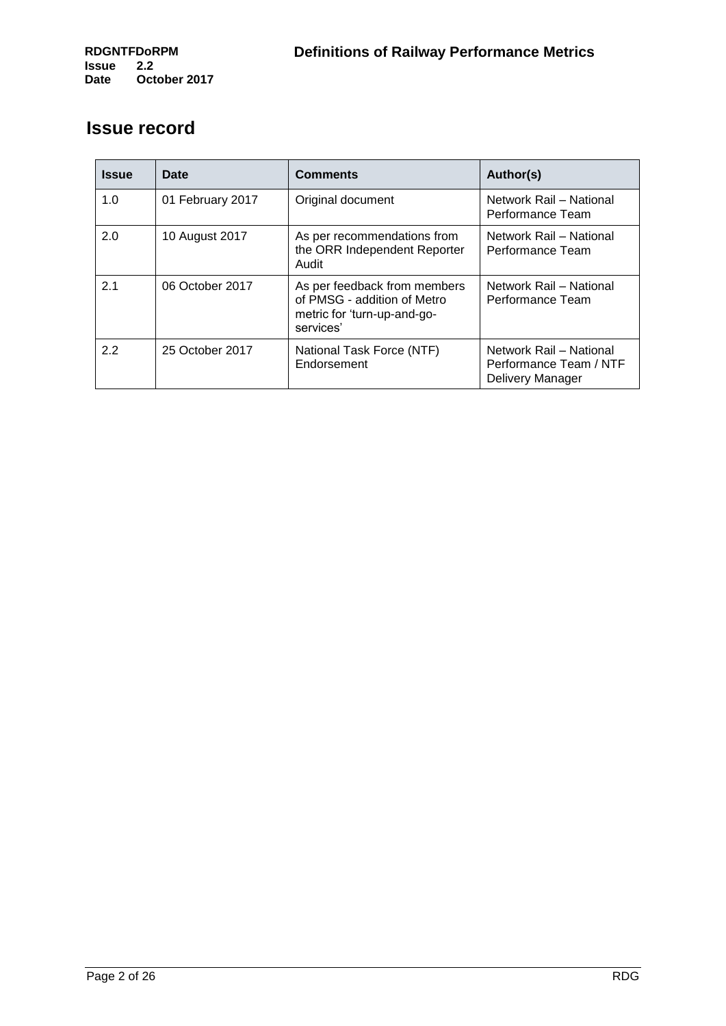# **Issue record**

| <b>Issue</b> | Date             | <b>Comments</b>                                                                                         | Author(s)                                                             |
|--------------|------------------|---------------------------------------------------------------------------------------------------------|-----------------------------------------------------------------------|
| 1.0          | 01 February 2017 | Original document                                                                                       | Network Rail - National<br>Performance Team                           |
| 2.0          | 10 August 2017   | As per recommendations from<br>the ORR Independent Reporter<br>Audit                                    | Network Rail - National<br>Performance Team                           |
| 2.1          | 06 October 2017  | As per feedback from members<br>of PMSG - addition of Metro<br>metric for 'turn-up-and-go-<br>services' | Network Rail - National<br>Performance Team                           |
| 2.2          | 25 October 2017  | National Task Force (NTF)<br>Endorsement                                                                | Network Rail - National<br>Performance Team / NTF<br>Delivery Manager |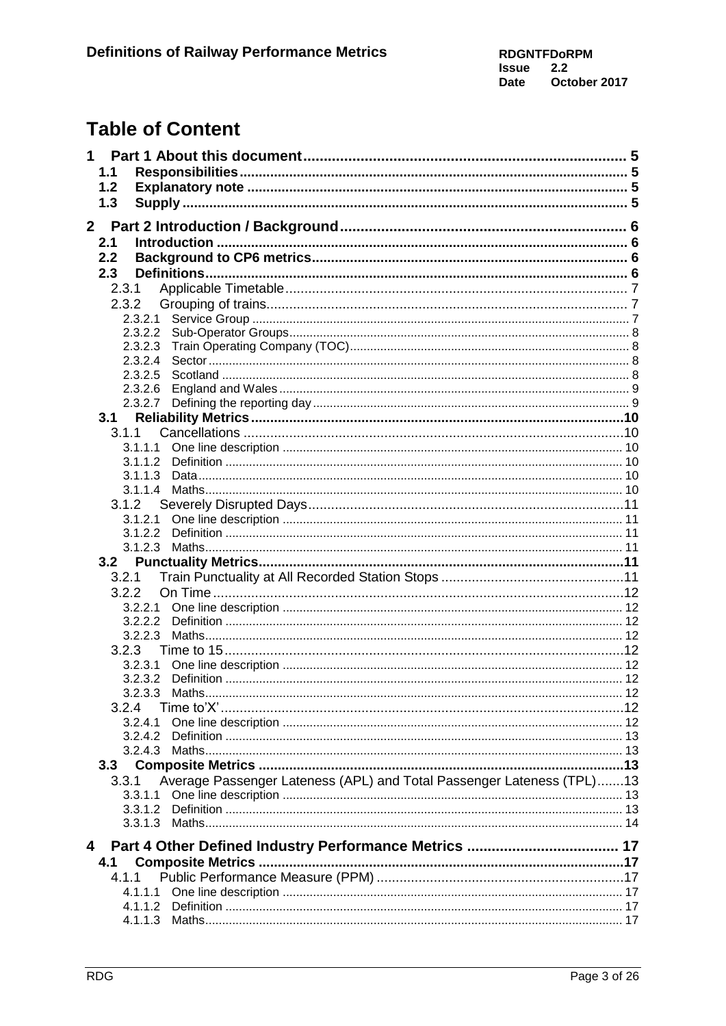# **Table of Content**

| 1                                                                              |  |  |  |
|--------------------------------------------------------------------------------|--|--|--|
| 1.1                                                                            |  |  |  |
| 1.2                                                                            |  |  |  |
| 1.3                                                                            |  |  |  |
| $\overline{2}$                                                                 |  |  |  |
|                                                                                |  |  |  |
| 2.1<br>2.2                                                                     |  |  |  |
| 2.3                                                                            |  |  |  |
| 2.3.1                                                                          |  |  |  |
| 2.3.2                                                                          |  |  |  |
|                                                                                |  |  |  |
|                                                                                |  |  |  |
| 2.3.2.3                                                                        |  |  |  |
| 2.3.2.4                                                                        |  |  |  |
| 2.3.2.5                                                                        |  |  |  |
| 2.3.2.6                                                                        |  |  |  |
| 2.3.2.7                                                                        |  |  |  |
| 3.1                                                                            |  |  |  |
| 3.1.1                                                                          |  |  |  |
| 3.1.1.1                                                                        |  |  |  |
| 3.1.1.2                                                                        |  |  |  |
| 3.1.1.3<br>3.1.1.4                                                             |  |  |  |
| 3.1.2                                                                          |  |  |  |
| 3.1.2.1                                                                        |  |  |  |
| 3.1.2.2                                                                        |  |  |  |
| 3.1.2.3                                                                        |  |  |  |
|                                                                                |  |  |  |
| 3.2.1                                                                          |  |  |  |
| 3.2.2                                                                          |  |  |  |
| 3.2.2.1                                                                        |  |  |  |
| 3.2.2.2                                                                        |  |  |  |
| 3.2.2.3                                                                        |  |  |  |
| 3.2.3                                                                          |  |  |  |
| 3.2.3.1                                                                        |  |  |  |
|                                                                                |  |  |  |
| 3.2.4                                                                          |  |  |  |
| 3.2.4.1                                                                        |  |  |  |
| 3.2.4.2                                                                        |  |  |  |
|                                                                                |  |  |  |
| 3.3                                                                            |  |  |  |
| Average Passenger Lateness (APL) and Total Passenger Lateness (TPL)13<br>3.3.1 |  |  |  |
| 3.3.1.1                                                                        |  |  |  |
| 3.3.1.2                                                                        |  |  |  |
|                                                                                |  |  |  |
| 4                                                                              |  |  |  |
| 4.1                                                                            |  |  |  |
| 4.1.1                                                                          |  |  |  |
| 4.1.1.1                                                                        |  |  |  |
| 4.1.1.2                                                                        |  |  |  |
|                                                                                |  |  |  |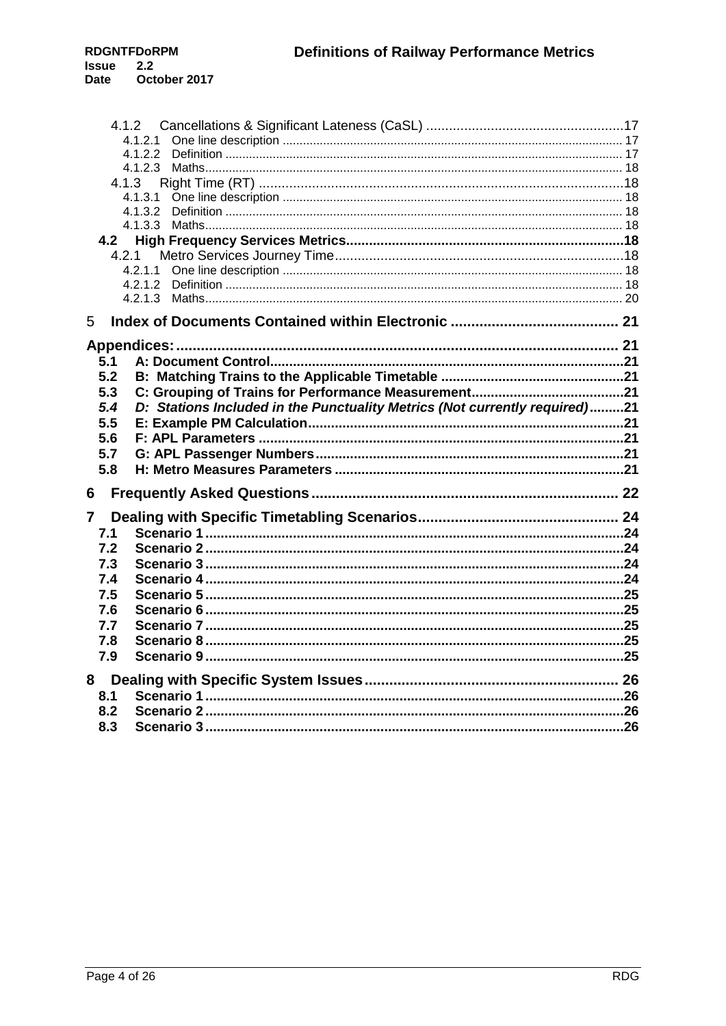| 4.1.3          |                                                                            |  |
|----------------|----------------------------------------------------------------------------|--|
|                |                                                                            |  |
|                | 4.1.3.2                                                                    |  |
|                |                                                                            |  |
|                |                                                                            |  |
|                | 4.2.1                                                                      |  |
|                |                                                                            |  |
|                | 4.2.1.2                                                                    |  |
|                | 4.2.1.3                                                                    |  |
| 5              |                                                                            |  |
|                |                                                                            |  |
| 5.1            |                                                                            |  |
| 5.2            |                                                                            |  |
| 5.3            |                                                                            |  |
| 5.4            | D: Stations Included in the Punctuality Metrics (Not currently required)21 |  |
| 5.5            |                                                                            |  |
| 5.6            |                                                                            |  |
| 5.7            |                                                                            |  |
| 5.8            |                                                                            |  |
|                |                                                                            |  |
| 6              |                                                                            |  |
| $\overline{7}$ |                                                                            |  |
| 7.1            |                                                                            |  |
| 7.2            |                                                                            |  |
| 7.3            |                                                                            |  |
| 7.4            |                                                                            |  |
| 7.5            |                                                                            |  |
| 7.6            |                                                                            |  |
| 7.7            |                                                                            |  |
| 7.8            |                                                                            |  |
| 7.9            |                                                                            |  |
|                |                                                                            |  |
| 8              |                                                                            |  |
| 8.1            |                                                                            |  |
| 8.2            |                                                                            |  |
| 8.3            |                                                                            |  |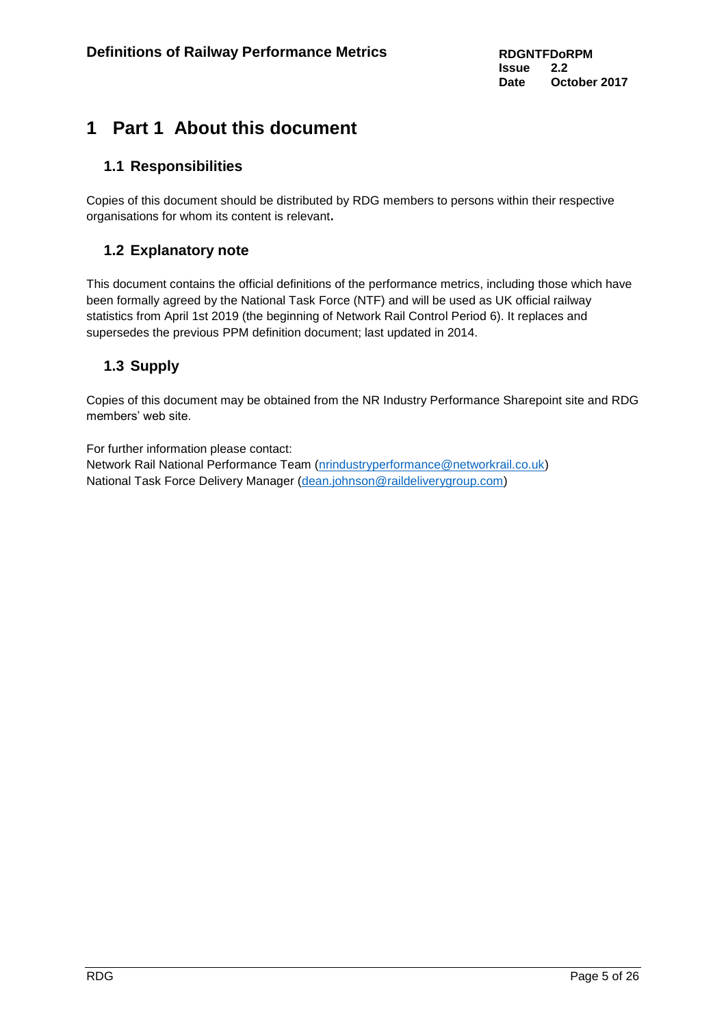# **1 Part 1 About this document**

# **1.1 Responsibilities**

Copies of this document should be distributed by RDG members to persons within their respective organisations for whom its content is relevant**.**

# **1.2 Explanatory note**

This document contains the official definitions of the performance metrics, including those which have been formally agreed by the National Task Force (NTF) and will be used as UK official railway statistics from April 1st 2019 (the beginning of Network Rail Control Period 6). It replaces and supersedes the previous PPM definition document; last updated in 2014.

# **1.3 Supply**

Copies of this document may be obtained from the NR Industry Performance Sharepoint site and RDG members' web site.

For further information please contact:

Network Rail National Performance Team [\(nrindustryperformance@networkrail.co.uk\)](mailto:nrindustryperformance@networkrail.co.uk) National Task Force Delivery Manager [\(dean.johnson@raildeliverygroup.com\)](mailto:dean.johnson@raildeliverygroup.com)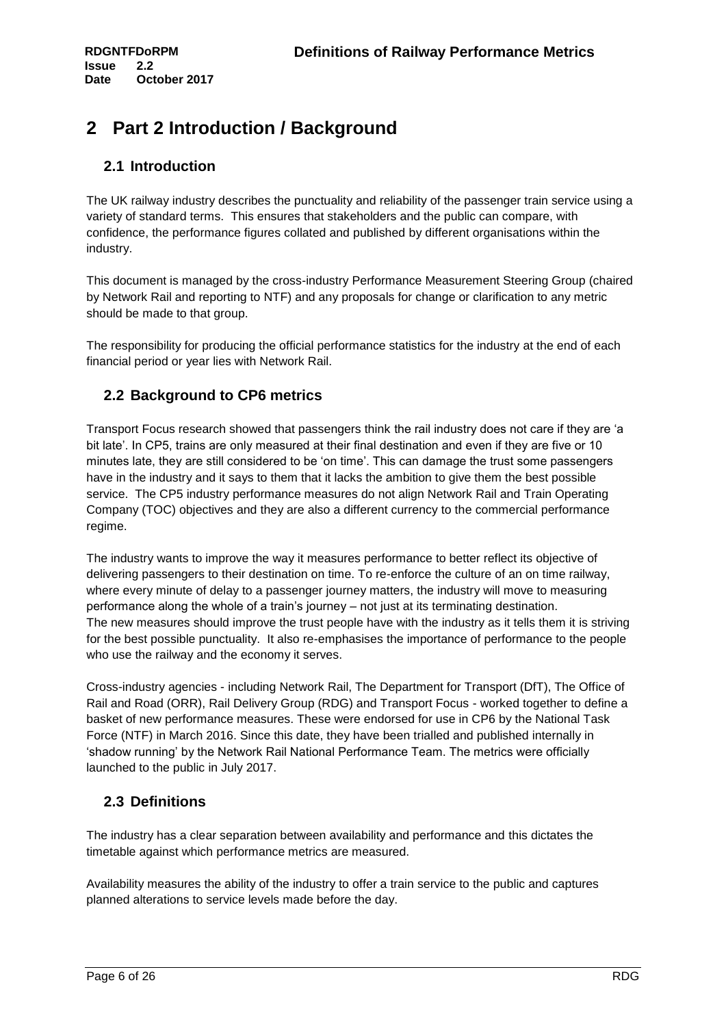# **2 Part 2 Introduction / Background**

# **2.1 Introduction**

The UK railway industry describes the punctuality and reliability of the passenger train service using a variety of standard terms. This ensures that stakeholders and the public can compare, with confidence, the performance figures collated and published by different organisations within the industry.

This document is managed by the cross-industry Performance Measurement Steering Group (chaired by Network Rail and reporting to NTF) and any proposals for change or clarification to any metric should be made to that group.

The responsibility for producing the official performance statistics for the industry at the end of each financial period or year lies with Network Rail.

# **2.2 Background to CP6 metrics**

Transport Focus research showed that passengers think the rail industry does not care if they are 'a bit late'. In CP5, trains are only measured at their final destination and even if they are five or 10 minutes late, they are still considered to be 'on time'. This can damage the trust some passengers have in the industry and it says to them that it lacks the ambition to give them the best possible service. The CP5 industry performance measures do not align Network Rail and Train Operating Company (TOC) objectives and they are also a different currency to the commercial performance regime.

The industry wants to improve the way it measures performance to better reflect its objective of delivering passengers to their destination on time. To re-enforce the culture of an on time railway, where every minute of delay to a passenger journey matters, the industry will move to measuring performance along the whole of a train's journey – not just at its terminating destination. The new measures should improve the trust people have with the industry as it tells them it is striving for the best possible punctuality. It also re-emphasises the importance of performance to the people who use the railway and the economy it serves.

Cross-industry agencies - including Network Rail, The Department for Transport (DfT), The Office of Rail and Road (ORR), Rail Delivery Group (RDG) and Transport Focus - worked together to define a basket of new performance measures. These were endorsed for use in CP6 by the National Task Force (NTF) in March 2016. Since this date, they have been trialled and published internally in 'shadow running' by the Network Rail National Performance Team. The metrics were officially launched to the public in July 2017.

# **2.3 Definitions**

The industry has a clear separation between availability and performance and this dictates the timetable against which performance metrics are measured.

Availability measures the ability of the industry to offer a train service to the public and captures planned alterations to service levels made before the day.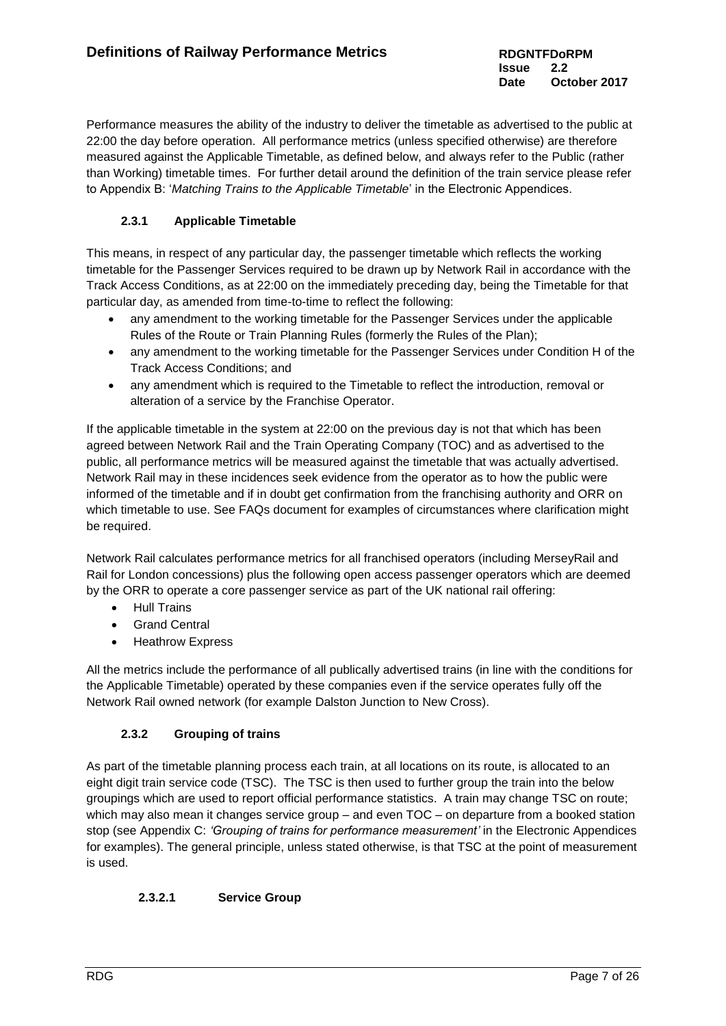Performance measures the ability of the industry to deliver the timetable as advertised to the public at 22:00 the day before operation. All performance metrics (unless specified otherwise) are therefore measured against the Applicable Timetable, as defined below, and always refer to the Public (rather than Working) timetable times. For further detail around the definition of the train service please refer to Appendix B: '*Matching Trains to the Applicable Timetable*' in the Electronic Appendices.

## **2.3.1 Applicable Timetable**

This means, in respect of any particular day, the passenger timetable which reflects the working timetable for the Passenger Services required to be drawn up by Network Rail in accordance with the Track Access Conditions, as at 22:00 on the immediately preceding day, being the Timetable for that particular day, as amended from time-to-time to reflect the following:

- any amendment to the working timetable for the Passenger Services under the applicable Rules of the Route or Train Planning Rules (formerly the Rules of the Plan);
- any amendment to the working timetable for the Passenger Services under Condition H of the Track Access Conditions; and
- any amendment which is required to the Timetable to reflect the introduction, removal or alteration of a service by the Franchise Operator.

If the applicable timetable in the system at 22:00 on the previous day is not that which has been agreed between Network Rail and the Train Operating Company (TOC) and as advertised to the public, all performance metrics will be measured against the timetable that was actually advertised. Network Rail may in these incidences seek evidence from the operator as to how the public were informed of the timetable and if in doubt get confirmation from the franchising authority and ORR on which timetable to use. See FAQs document for examples of circumstances where clarification might be required.

Network Rail calculates performance metrics for all franchised operators (including MerseyRail and Rail for London concessions) plus the following open access passenger operators which are deemed by the ORR to operate a core passenger service as part of the UK national rail offering:

- Hull Trains
- Grand Central
- Heathrow Express

All the metrics include the performance of all publically advertised trains (in line with the conditions for the Applicable Timetable) operated by these companies even if the service operates fully off the Network Rail owned network (for example Dalston Junction to New Cross).

## **2.3.2 Grouping of trains**

As part of the timetable planning process each train, at all locations on its route, is allocated to an eight digit train service code (TSC). The TSC is then used to further group the train into the below groupings which are used to report official performance statistics. A train may change TSC on route; which may also mean it changes service group – and even TOC – on departure from a booked station stop (see Appendix C: *'Grouping of trains for performance measurement'* in the Electronic Appendices for examples). The general principle, unless stated otherwise, is that TSC at the point of measurement is used.

## **2.3.2.1 Service Group**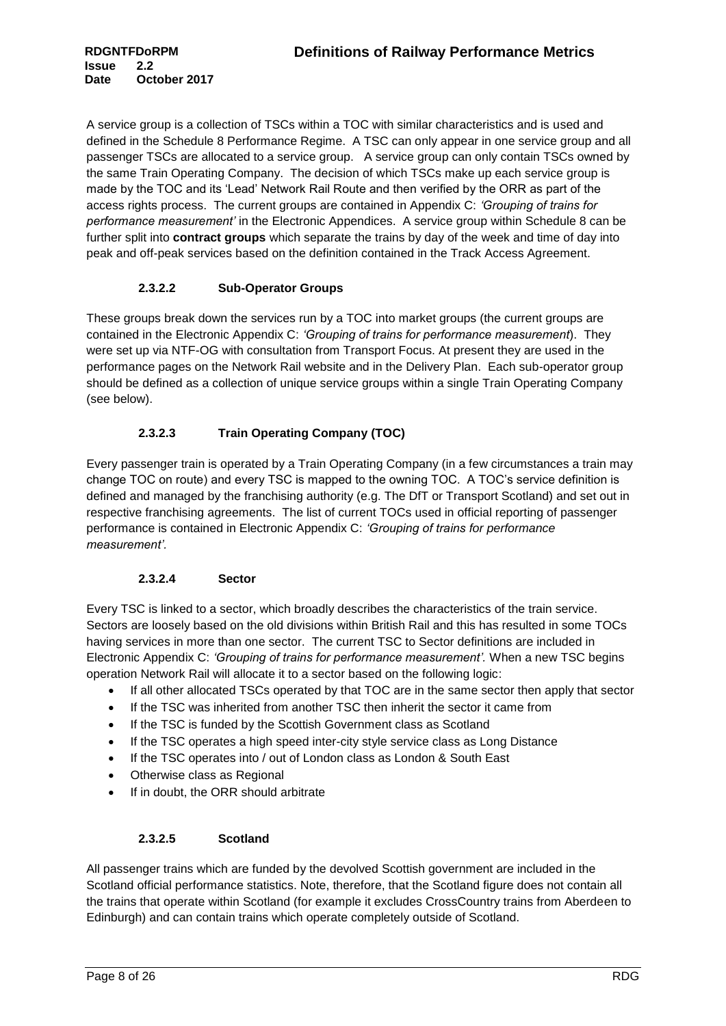A service group is a collection of TSCs within a TOC with similar characteristics and is used and defined in the Schedule 8 Performance Regime. A TSC can only appear in one service group and all passenger TSCs are allocated to a service group. A service group can only contain TSCs owned by the same Train Operating Company. The decision of which TSCs make up each service group is made by the TOC and its 'Lead' Network Rail Route and then verified by the ORR as part of the access rights process. The current groups are contained in Appendix C: *'Grouping of trains for performance measurement'* in the Electronic Appendices. A service group within Schedule 8 can be further split into **contract groups** which separate the trains by day of the week and time of day into peak and off-peak services based on the definition contained in the Track Access Agreement.

## **2.3.2.2 Sub-Operator Groups**

These groups break down the services run by a TOC into market groups (the current groups are contained in the Electronic Appendix C: *'Grouping of trains for performance measurement*). They were set up via NTF-OG with consultation from Transport Focus. At present they are used in the performance pages on the Network Rail website and in the Delivery Plan. Each sub-operator group should be defined as a collection of unique service groups within a single Train Operating Company (see below).

## **2.3.2.3 Train Operating Company (TOC)**

Every passenger train is operated by a Train Operating Company (in a few circumstances a train may change TOC on route) and every TSC is mapped to the owning TOC. A TOC's service definition is defined and managed by the franchising authority (e.g. The DfT or Transport Scotland) and set out in respective franchising agreements. The list of current TOCs used in official reporting of passenger performance is contained in Electronic Appendix C: *'Grouping of trains for performance measurement'.*

## **2.3.2.4 Sector**

Every TSC is linked to a sector, which broadly describes the characteristics of the train service. Sectors are loosely based on the old divisions within British Rail and this has resulted in some TOCs having services in more than one sector. The current TSC to Sector definitions are included in Electronic Appendix C: *'Grouping of trains for performance measurement'.* When a new TSC begins operation Network Rail will allocate it to a sector based on the following logic:

- If all other allocated TSCs operated by that TOC are in the same sector then apply that sector
- If the TSC was inherited from another TSC then inherit the sector it came from
- If the TSC is funded by the Scottish Government class as Scotland
- If the TSC operates a high speed inter-city style service class as Long Distance
- If the TSC operates into / out of London class as London & South East
- Otherwise class as Regional
- If in doubt, the ORR should arbitrate

## **2.3.2.5 Scotland**

All passenger trains which are funded by the devolved Scottish government are included in the Scotland official performance statistics. Note, therefore, that the Scotland figure does not contain all the trains that operate within Scotland (for example it excludes CrossCountry trains from Aberdeen to Edinburgh) and can contain trains which operate completely outside of Scotland.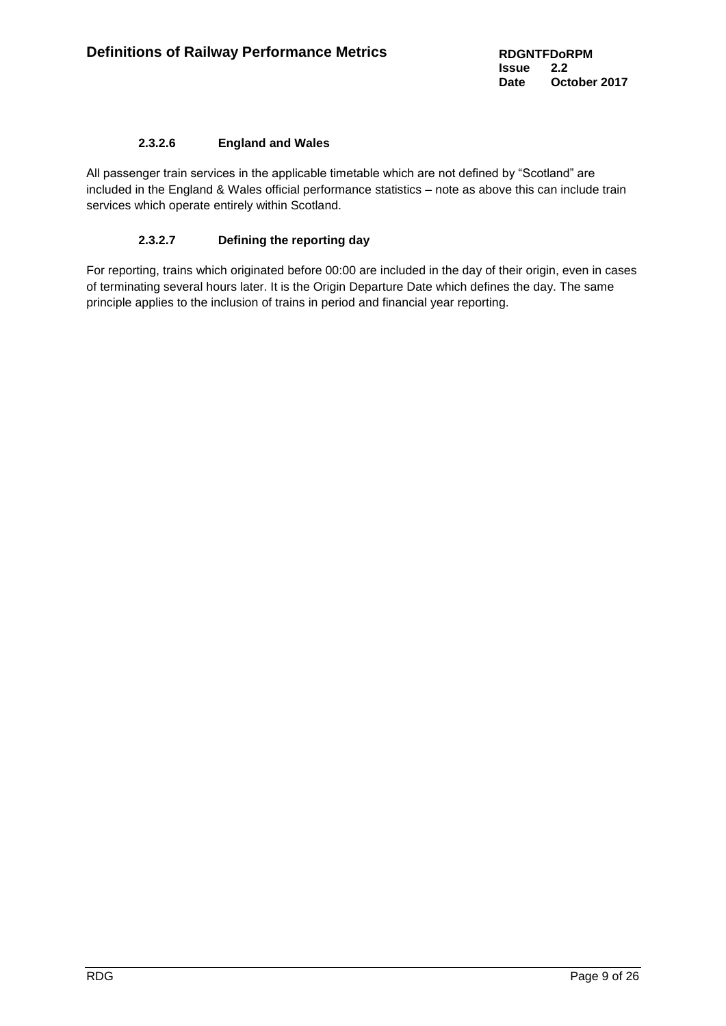#### **2.3.2.6 England and Wales**

All passenger train services in the applicable timetable which are not defined by "Scotland" are included in the England & Wales official performance statistics – note as above this can include train services which operate entirely within Scotland.

### **2.3.2.7 Defining the reporting day**

For reporting, trains which originated before 00:00 are included in the day of their origin, even in cases of terminating several hours later. It is the Origin Departure Date which defines the day. The same principle applies to the inclusion of trains in period and financial year reporting.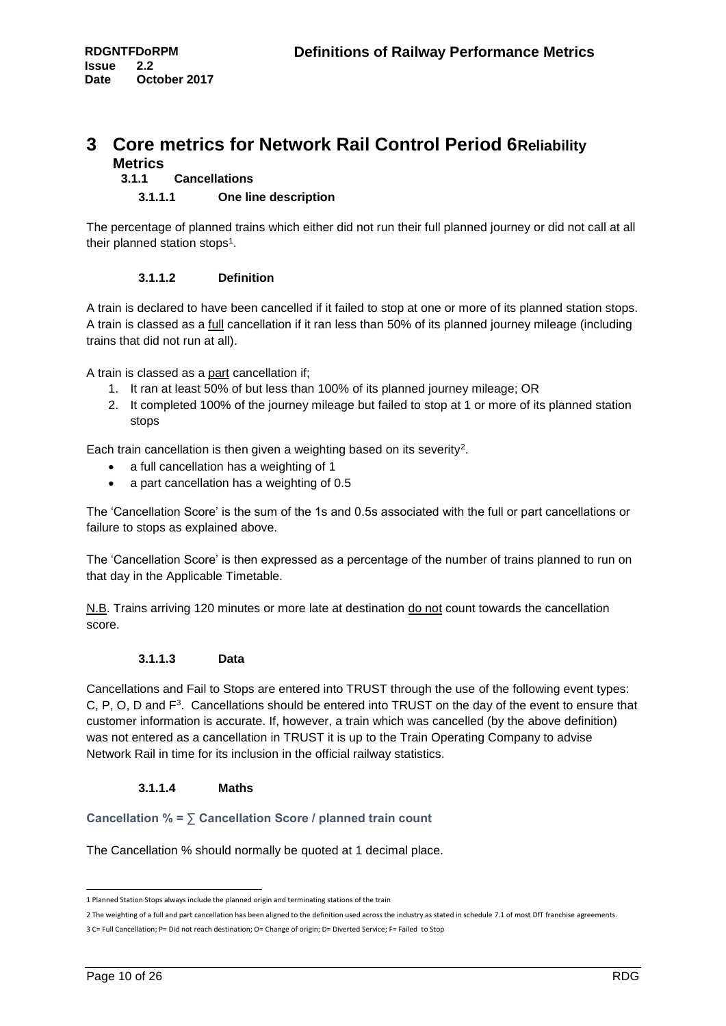# **3 Core metrics for Network Rail Control Period 6Reliability Metrics**

#### **3.1.1 Cancellations**

## **3.1.1.1 One line description**

The percentage of planned trains which either did not run their full planned journey or did not call at all their planned station stops<sup>1</sup>.

#### **3.1.1.2 Definition**

A train is declared to have been cancelled if it failed to stop at one or more of its planned station stops. A train is classed as a full cancellation if it ran less than 50% of its planned journey mileage (including trains that did not run at all).

A train is classed as a part cancellation if;

- 1. It ran at least 50% of but less than 100% of its planned journey mileage; OR
- 2. It completed 100% of the journey mileage but failed to stop at 1 or more of its planned station stops

Each train cancellation is then given a weighting based on its severity<sup>2</sup>.

- a full cancellation has a weighting of 1
- a part cancellation has a weighting of 0.5

The 'Cancellation Score' is the sum of the 1s and 0.5s associated with the full or part cancellations or failure to stops as explained above.

The 'Cancellation Score' is then expressed as a percentage of the number of trains planned to run on that day in the Applicable Timetable.

N.B. Trains arriving 120 minutes or more late at destination do not count towards the cancellation score.

#### **3.1.1.3 Data**

Cancellations and Fail to Stops are entered into TRUST through the use of the following event types: C, P, O, D and F<sup>3</sup>. Cancellations should be entered into TRUST on the day of the event to ensure that customer information is accurate. If, however, a train which was cancelled (by the above definition) was not entered as a cancellation in TRUST it is up to the Train Operating Company to advise Network Rail in time for its inclusion in the official railway statistics.

#### **3.1.1.4 Maths**

**Cancellation % = ∑ Cancellation Score / planned train count**

The Cancellation % should normally be quoted at 1 decimal place.

l 1 Planned Station Stops always include the planned origin and terminating stations of the train

<sup>2</sup> The weighting of a full and part cancellation has been aligned to the definition used across the industry as stated in schedule 7.1 of most DfT franchise agreements.

<sup>3</sup> C= Full Cancellation; P= Did not reach destination; O= Change of origin; D= Diverted Service; F= Failed to Stop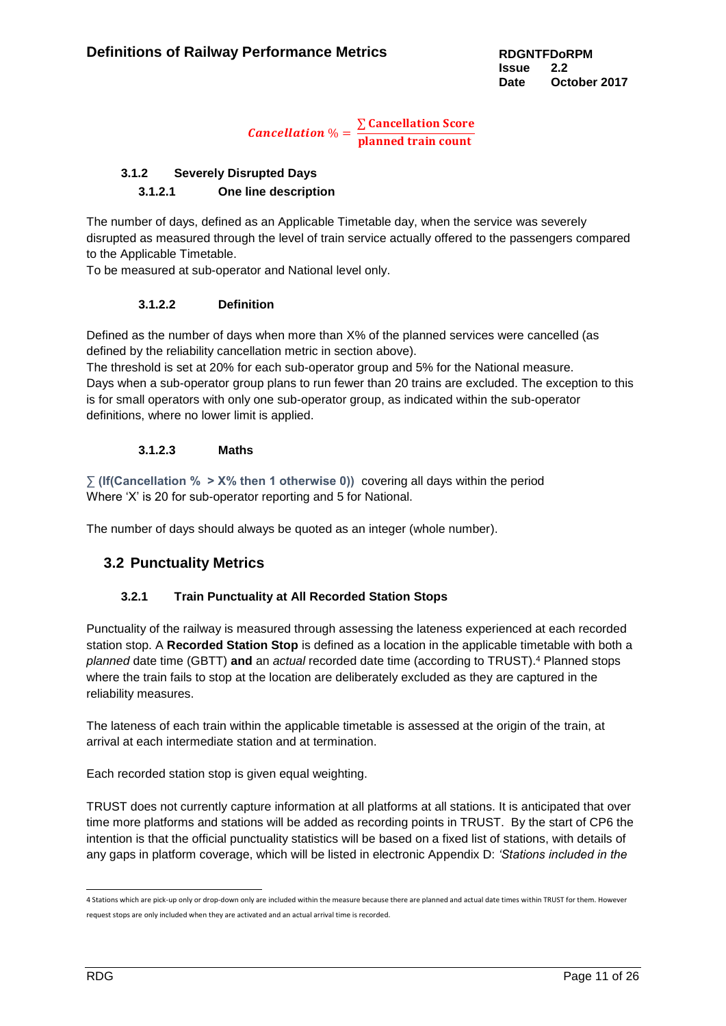## *Cancellation*  $\% = \frac{\sum \text{Cancellation Score}}{\text{observed train event}}$ planned train count

## **3.1.2 Severely Disrupted Days 3.1.2.1 One line description**

The number of days, defined as an Applicable Timetable day, when the service was severely disrupted as measured through the level of train service actually offered to the passengers compared to the Applicable Timetable.

To be measured at sub-operator and National level only.

#### **3.1.2.2 Definition**

Defined as the number of days when more than X% of the planned services were cancelled (as defined by the reliability cancellation metric in section above).

The threshold is set at 20% for each sub-operator group and 5% for the National measure. Days when a sub-operator group plans to run fewer than 20 trains are excluded. The exception to this is for small operators with only one sub-operator group, as indicated within the sub-operator definitions, where no lower limit is applied.

### **3.1.2.3 Maths**

 $\sum$  (If(Cancellation % > X% then 1 otherwise 0)) covering all days within the period Where 'X' is 20 for sub-operator reporting and 5 for National.

The number of days should always be quoted as an integer (whole number).

## **3.2 Punctuality Metrics**

## **3.2.1 Train Punctuality at All Recorded Station Stops**

Punctuality of the railway is measured through assessing the lateness experienced at each recorded station stop. A **Recorded Station Stop** is defined as a location in the applicable timetable with both a *planned* date time (GBTT) **and** an *actual* recorded date time (according to TRUST).<sup>4</sup> Planned stops where the train fails to stop at the location are deliberately excluded as they are captured in the reliability measures.

The lateness of each train within the applicable timetable is assessed at the origin of the train, at arrival at each intermediate station and at termination.

Each recorded station stop is given equal weighting.

TRUST does not currently capture information at all platforms at all stations. It is anticipated that over time more platforms and stations will be added as recording points in TRUST. By the start of CP6 the intention is that the official punctuality statistics will be based on a fixed list of stations, with details of any gaps in platform coverage, which will be listed in electronic Appendix D: *'Stations included in the* 

l 4 Stations which are pick-up only or drop-down only are included within the measure because there are planned and actual date times within TRUST for them. However request stops are only included when they are activated and an actual arrival time is recorded.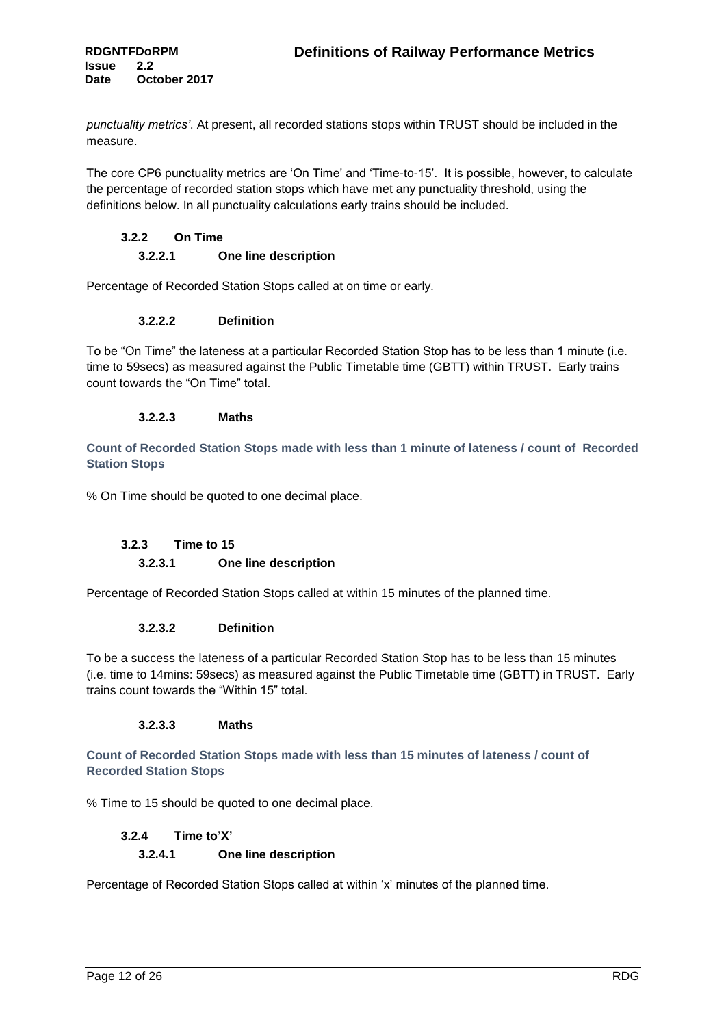*punctuality metrics'*. At present, all recorded stations stops within TRUST should be included in the measure.

The core CP6 punctuality metrics are 'On Time' and 'Time-to-15'. It is possible, however, to calculate the percentage of recorded station stops which have met any punctuality threshold, using the definitions below. In all punctuality calculations early trains should be included.

#### **3.2.2 On Time**

#### **3.2.2.1 One line description**

Percentage of Recorded Station Stops called at on time or early.

#### **3.2.2.2 Definition**

To be "On Time" the lateness at a particular Recorded Station Stop has to be less than 1 minute (i.e. time to 59secs) as measured against the Public Timetable time (GBTT) within TRUST. Early trains count towards the "On Time" total.

#### **3.2.2.3 Maths**

**Count of Recorded Station Stops made with less than 1 minute of lateness / count of Recorded Station Stops**

% On Time should be quoted to one decimal place.

#### **3.2.3 Time to 15**

#### **3.2.3.1 One line description**

Percentage of Recorded Station Stops called at within 15 minutes of the planned time.

#### **3.2.3.2 Definition**

To be a success the lateness of a particular Recorded Station Stop has to be less than 15 minutes (i.e. time to 14mins: 59secs) as measured against the Public Timetable time (GBTT) in TRUST. Early trains count towards the "Within 15" total.

#### **3.2.3.3 Maths**

**Count of Recorded Station Stops made with less than 15 minutes of lateness / count of Recorded Station Stops**

% Time to 15 should be quoted to one decimal place.

#### **3.2.4 Time to'X'**

#### **3.2.4.1 One line description**

Percentage of Recorded Station Stops called at within 'x' minutes of the planned time.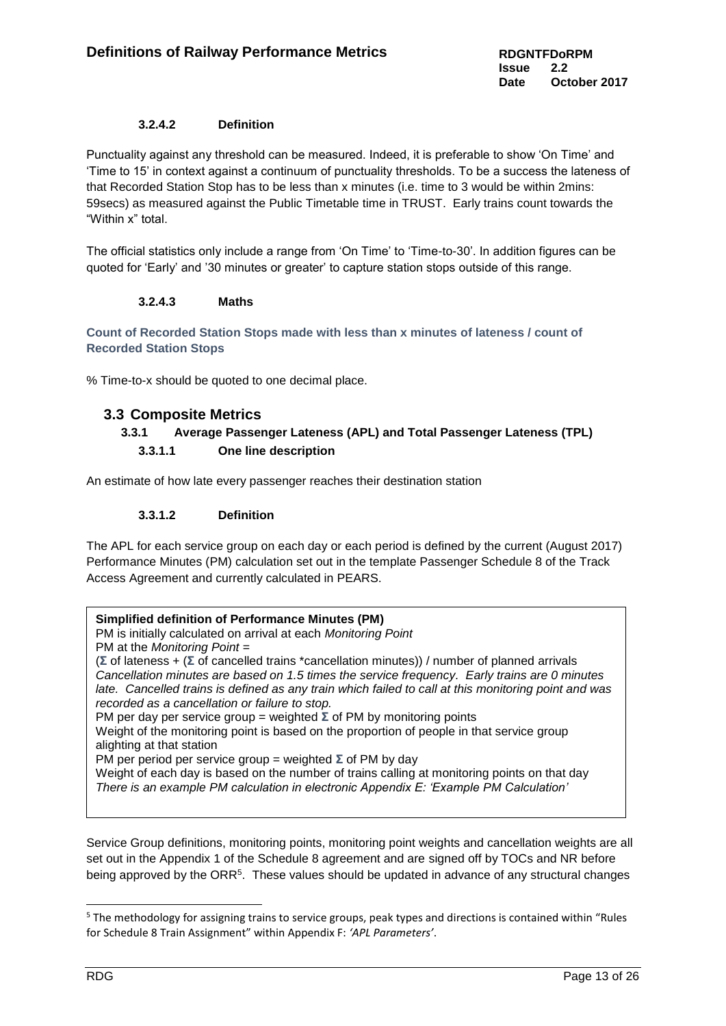#### **3.2.4.2 Definition**

Punctuality against any threshold can be measured. Indeed, it is preferable to show 'On Time' and 'Time to 15' in context against a continuum of punctuality thresholds. To be a success the lateness of that Recorded Station Stop has to be less than x minutes (i.e. time to 3 would be within 2mins: 59secs) as measured against the Public Timetable time in TRUST. Early trains count towards the "Within x" total.

The official statistics only include a range from 'On Time' to 'Time-to-30'. In addition figures can be quoted for 'Early' and '30 minutes or greater' to capture station stops outside of this range.

#### **3.2.4.3 Maths**

**Count of Recorded Station Stops made with less than x minutes of lateness / count of Recorded Station Stops**

% Time-to-x should be quoted to one decimal place.

## **3.3 Composite Metrics**

## **3.3.1 Average Passenger Lateness (APL) and Total Passenger Lateness (TPL) 3.3.1.1 One line description**

An estimate of how late every passenger reaches their destination station

#### **3.3.1.2 Definition**

The APL for each service group on each day or each period is defined by the current (August 2017) Performance Minutes (PM) calculation set out in the template Passenger Schedule 8 of the Track Access Agreement and currently calculated in PEARS.



Service Group definitions, monitoring points, monitoring point weights and cancellation weights are all set out in the Appendix 1 of the Schedule 8 agreement and are signed off by TOCs and NR before being approved by the ORR<sup>5</sup>. These values should be updated in advance of any structural changes

l

<sup>5</sup> The methodology for assigning trains to service groups, peak types and directions is contained within "Rules for Schedule 8 Train Assignment" within Appendix F: *'APL Parameters'*.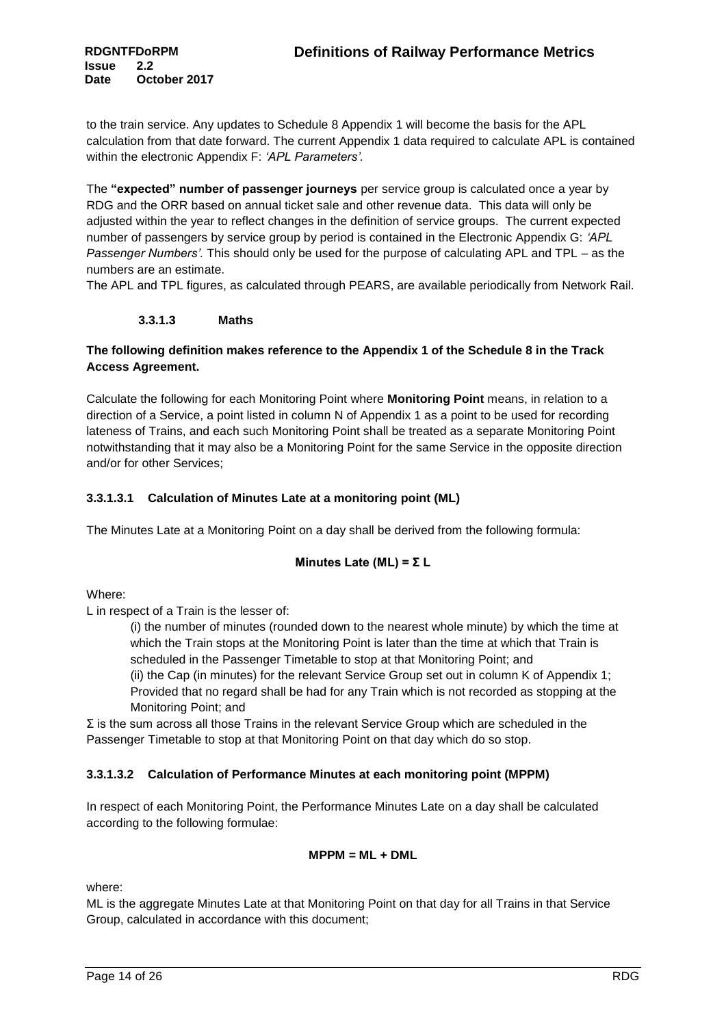to the train service. Any updates to Schedule 8 Appendix 1 will become the basis for the APL calculation from that date forward. The current Appendix 1 data required to calculate APL is contained within the electronic Appendix F: *'APL Parameters'.*

The **"expected" number of passenger journeys** per service group is calculated once a year by RDG and the ORR based on annual ticket sale and other revenue data. This data will only be adjusted within the year to reflect changes in the definition of service groups. The current expected number of passengers by service group by period is contained in the Electronic Appendix G: *'APL Passenger Numbers'.* This should only be used for the purpose of calculating APL and TPL – as the numbers are an estimate.

The APL and TPL figures, as calculated through PEARS, are available periodically from Network Rail.

### **3.3.1.3 Maths**

## **The following definition makes reference to the Appendix 1 of the Schedule 8 in the Track Access Agreement.**

Calculate the following for each Monitoring Point where **Monitoring Point** means, in relation to a direction of a Service, a point listed in column N of Appendix 1 as a point to be used for recording lateness of Trains, and each such Monitoring Point shall be treated as a separate Monitoring Point notwithstanding that it may also be a Monitoring Point for the same Service in the opposite direction and/or for other Services;

## **3.3.1.3.1 Calculation of Minutes Late at a monitoring point (ML)**

The Minutes Late at a Monitoring Point on a day shall be derived from the following formula:

## **Minutes Late (ML) = Σ L**

Where:

L in respect of a Train is the lesser of:

(i) the number of minutes (rounded down to the nearest whole minute) by which the time at which the Train stops at the Monitoring Point is later than the time at which that Train is scheduled in the Passenger Timetable to stop at that Monitoring Point; and

(ii) the Cap (in minutes) for the relevant Service Group set out in column K of Appendix 1; Provided that no regard shall be had for any Train which is not recorded as stopping at the Monitoring Point; and

 $Σ$  is the sum across all those Trains in the relevant Service Group which are scheduled in the Passenger Timetable to stop at that Monitoring Point on that day which do so stop.

#### **3.3.1.3.2 Calculation of Performance Minutes at each monitoring point (MPPM)**

In respect of each Monitoring Point, the Performance Minutes Late on a day shall be calculated according to the following formulae:

#### **MPPM = ML + DML**

where:

ML is the aggregate Minutes Late at that Monitoring Point on that day for all Trains in that Service Group, calculated in accordance with this document;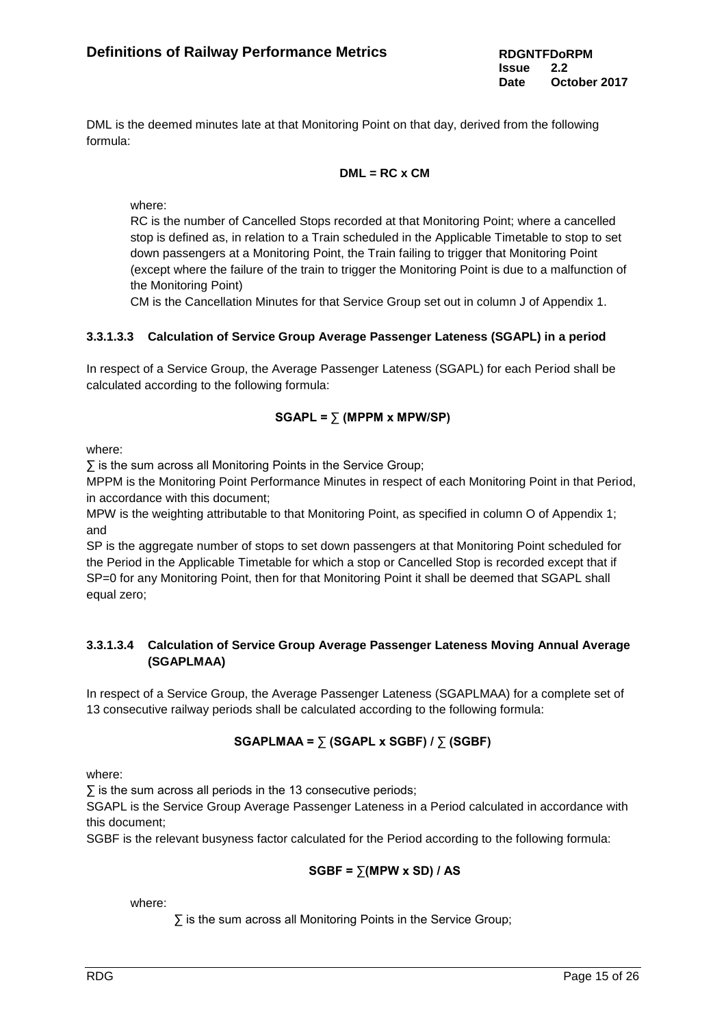DML is the deemed minutes late at that Monitoring Point on that day, derived from the following formula:

## **DML = RC x CM**

where:

RC is the number of Cancelled Stops recorded at that Monitoring Point; where a cancelled stop is defined as, in relation to a Train scheduled in the Applicable Timetable to stop to set down passengers at a Monitoring Point, the Train failing to trigger that Monitoring Point (except where the failure of the train to trigger the Monitoring Point is due to a malfunction of the Monitoring Point)

CM is the Cancellation Minutes for that Service Group set out in column J of Appendix 1.

### **3.3.1.3.3 Calculation of Service Group Average Passenger Lateness (SGAPL) in a period**

In respect of a Service Group, the Average Passenger Lateness (SGAPL) for each Period shall be calculated according to the following formula:

### $SGAPL = \sum (MPPM \times MPW/SP)$

where:

∑ is the sum across all Monitoring Points in the Service Group;

MPPM is the Monitoring Point Performance Minutes in respect of each Monitoring Point in that Period, in accordance with this document;

MPW is the weighting attributable to that Monitoring Point, as specified in column O of Appendix 1; and

SP is the aggregate number of stops to set down passengers at that Monitoring Point scheduled for the Period in the Applicable Timetable for which a stop or Cancelled Stop is recorded except that if SP=0 for any Monitoring Point, then for that Monitoring Point it shall be deemed that SGAPL shall equal zero;

## **3.3.1.3.4 Calculation of Service Group Average Passenger Lateness Moving Annual Average (SGAPLMAA)**

In respect of a Service Group, the Average Passenger Lateness (SGAPLMAA) for a complete set of 13 consecutive railway periods shall be calculated according to the following formula:

## **SGAPLMAA = ∑ (SGAPL x SGBF) / ∑ (SGBF)**

where:

∑ is the sum across all periods in the 13 consecutive periods;

SGAPL is the Service Group Average Passenger Lateness in a Period calculated in accordance with this document;

SGBF is the relevant busyness factor calculated for the Period according to the following formula:

#### **SGBF = ∑(MPW x SD) / AS**

where: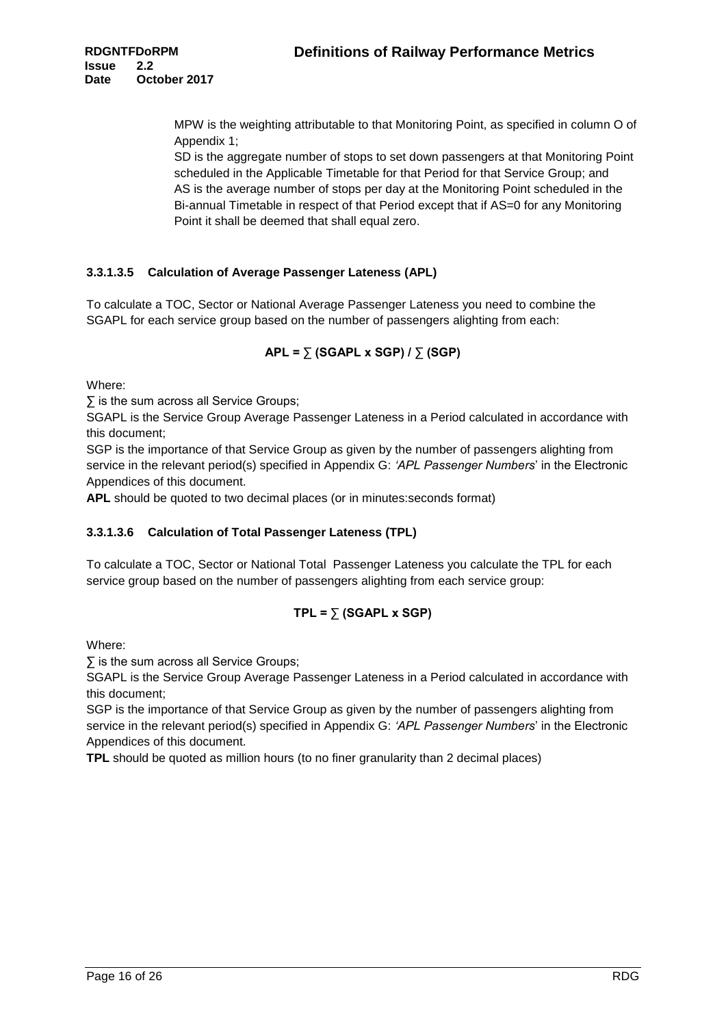MPW is the weighting attributable to that Monitoring Point, as specified in column O of Appendix 1;

SD is the aggregate number of stops to set down passengers at that Monitoring Point scheduled in the Applicable Timetable for that Period for that Service Group; and AS is the average number of stops per day at the Monitoring Point scheduled in the Bi-annual Timetable in respect of that Period except that if AS=0 for any Monitoring Point it shall be deemed that shall equal zero.

## **3.3.1.3.5 Calculation of Average Passenger Lateness (APL)**

To calculate a TOC, Sector or National Average Passenger Lateness you need to combine the SGAPL for each service group based on the number of passengers alighting from each:

### $APL = \sum (SGAPL \times SGP) / \sum (SGP)$

Where:

∑ is the sum across all Service Groups;

SGAPL is the Service Group Average Passenger Lateness in a Period calculated in accordance with this document;

SGP is the importance of that Service Group as given by the number of passengers alighting from service in the relevant period(s) specified in Appendix G: *'APL Passenger Numbers*' in the Electronic Appendices of this document.

**APL** should be quoted to two decimal places (or in minutes:seconds format)

#### **3.3.1.3.6 Calculation of Total Passenger Lateness (TPL)**

To calculate a TOC, Sector or National Total Passenger Lateness you calculate the TPL for each service group based on the number of passengers alighting from each service group:

## $TPL = \sum (SGAPL \times SGP)$

Where:

∑ is the sum across all Service Groups;

SGAPL is the Service Group Average Passenger Lateness in a Period calculated in accordance with this document;

SGP is the importance of that Service Group as given by the number of passengers alighting from service in the relevant period(s) specified in Appendix G: *'APL Passenger Numbers*' in the Electronic Appendices of this document.

**TPL** should be quoted as million hours (to no finer granularity than 2 decimal places)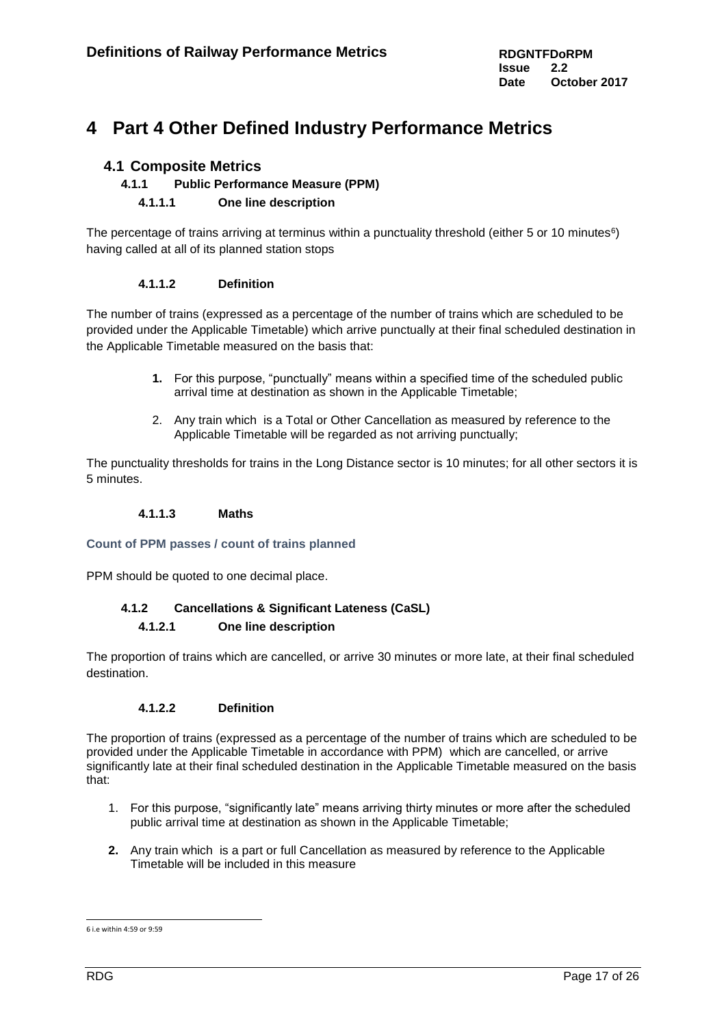# **4 Part 4 Other Defined Industry Performance Metrics**

## **4.1 Composite Metrics**

**4.1.1 Public Performance Measure (PPM)**

## **4.1.1.1 One line description**

The percentage of trains arriving at terminus within a punctuality threshold (either 5 or 10 minutes $6$ ) having called at all of its planned station stops

#### **4.1.1.2 Definition**

The number of trains (expressed as a percentage of the number of trains which are scheduled to be provided under the Applicable Timetable) which arrive punctually at their final scheduled destination in the Applicable Timetable measured on the basis that:

- **1.** For this purpose, "punctually" means within a specified time of the scheduled public arrival time at destination as shown in the Applicable Timetable;
- 2. Any train which is a Total or Other Cancellation as measured by reference to the Applicable Timetable will be regarded as not arriving punctually;

The punctuality thresholds for trains in the Long Distance sector is 10 minutes; for all other sectors it is 5 minutes.

#### **4.1.1.3 Maths**

**Count of PPM passes / count of trains planned**

PPM should be quoted to one decimal place.

## **4.1.2 Cancellations & Significant Lateness (CaSL)**

## **4.1.2.1 One line description**

The proportion of trains which are cancelled, or arrive 30 minutes or more late, at their final scheduled destination.

#### **4.1.2.2 Definition**

The proportion of trains (expressed as a percentage of the number of trains which are scheduled to be provided under the Applicable Timetable in accordance with PPM) which are cancelled, or arrive significantly late at their final scheduled destination in the Applicable Timetable measured on the basis that:

- 1. For this purpose, "significantly late" means arriving thirty minutes or more after the scheduled public arrival time at destination as shown in the Applicable Timetable;
- **2.** Any train which is a part or full Cancellation as measured by reference to the Applicable Timetable will be included in this measure

l 6 i.e within 4:59 or 9:59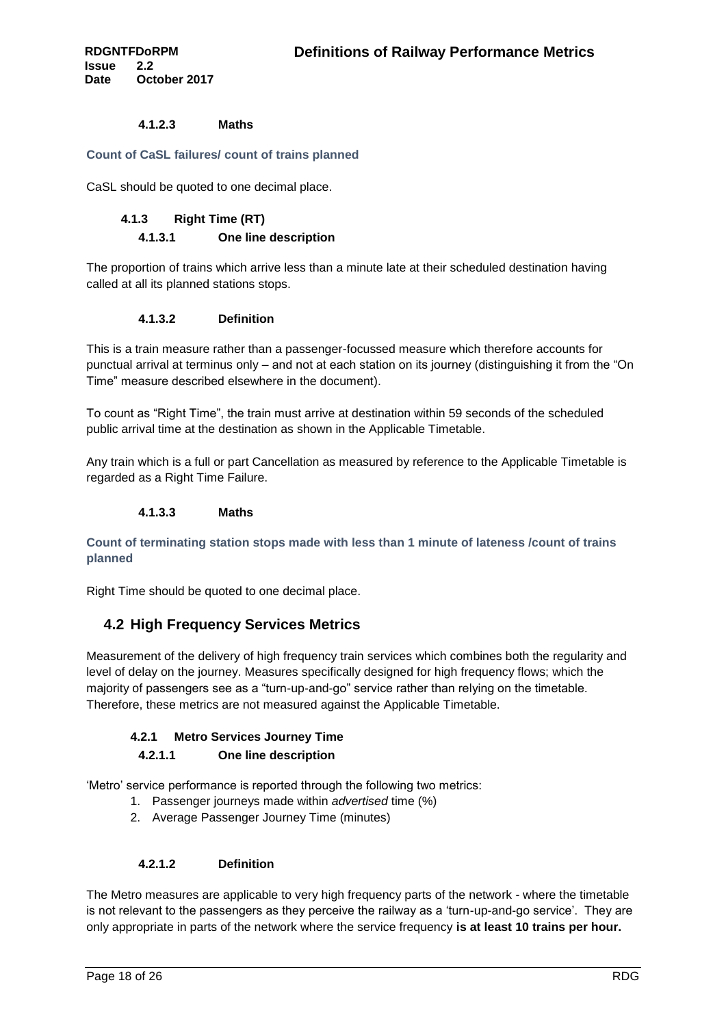#### **4.1.2.3 Maths**

#### **Count of CaSL failures/ count of trains planned**

CaSL should be quoted to one decimal place.

## **4.1.3 Right Time (RT) 4.1.3.1 One line description**

The proportion of trains which arrive less than a minute late at their scheduled destination having called at all its planned stations stops.

#### **4.1.3.2 Definition**

This is a train measure rather than a passenger-focussed measure which therefore accounts for punctual arrival at terminus only – and not at each station on its journey (distinguishing it from the "On Time" measure described elsewhere in the document).

To count as "Right Time", the train must arrive at destination within 59 seconds of the scheduled public arrival time at the destination as shown in the Applicable Timetable.

Any train which is a full or part Cancellation as measured by reference to the Applicable Timetable is regarded as a Right Time Failure.

#### **4.1.3.3 Maths**

**Count of terminating station stops made with less than 1 minute of lateness /count of trains planned**

Right Time should be quoted to one decimal place.

## **4.2 High Frequency Services Metrics**

Measurement of the delivery of high frequency train services which combines both the regularity and level of delay on the journey. Measures specifically designed for high frequency flows; which the majority of passengers see as a "turn-up-and-go" service rather than relying on the timetable. Therefore, these metrics are not measured against the Applicable Timetable.

#### **4.2.1 Metro Services Journey Time**

#### **4.2.1.1 One line description**

'Metro' service performance is reported through the following two metrics:

- 1. Passenger journeys made within *advertised* time (%)
- 2. Average Passenger Journey Time (minutes)

#### **4.2.1.2 Definition**

The Metro measures are applicable to very high frequency parts of the network - where the timetable is not relevant to the passengers as they perceive the railway as a 'turn-up-and-go service'. They are only appropriate in parts of the network where the service frequency **is at least 10 trains per hour.**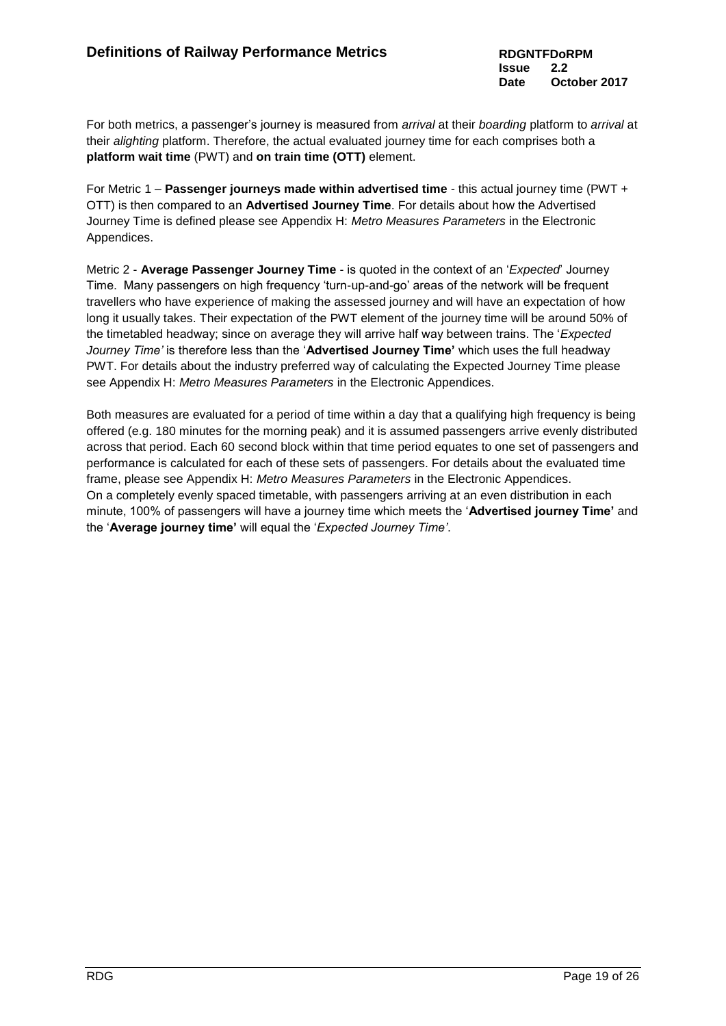For both metrics, a passenger's journey is measured from *arrival* at their *boarding* platform to *arrival* at their *alighting* platform. Therefore, the actual evaluated journey time for each comprises both a **platform wait time** (PWT) and **on train time (OTT)** element.

For Metric 1 – **Passenger journeys made within advertised time** - this actual journey time (PWT + OTT) is then compared to an **Advertised Journey Time**. For details about how the Advertised Journey Time is defined please see Appendix H: *Metro Measures Parameters* in the Electronic Appendices.

Metric 2 - **Average Passenger Journey Time** - is quoted in the context of an '*Expected*' Journey Time. Many passengers on high frequency 'turn-up-and-go' areas of the network will be frequent travellers who have experience of making the assessed journey and will have an expectation of how long it usually takes. Their expectation of the PWT element of the journey time will be around 50% of the timetabled headway; since on average they will arrive half way between trains. The '*Expected Journey Time'* is therefore less than the '**Advertised Journey Time'** which uses the full headway PWT. For details about the industry preferred way of calculating the Expected Journey Time please see Appendix H: *Metro Measures Parameters* in the Electronic Appendices.

Both measures are evaluated for a period of time within a day that a qualifying high frequency is being offered (e.g. 180 minutes for the morning peak) and it is assumed passengers arrive evenly distributed across that period. Each 60 second block within that time period equates to one set of passengers and performance is calculated for each of these sets of passengers. For details about the evaluated time frame, please see Appendix H: *Metro Measures Parameters* in the Electronic Appendices. On a completely evenly spaced timetable, with passengers arriving at an even distribution in each minute, 100% of passengers will have a journey time which meets the '**Advertised journey Time'** and the '**Average journey time'** will equal the '*Expected Journey Time'*.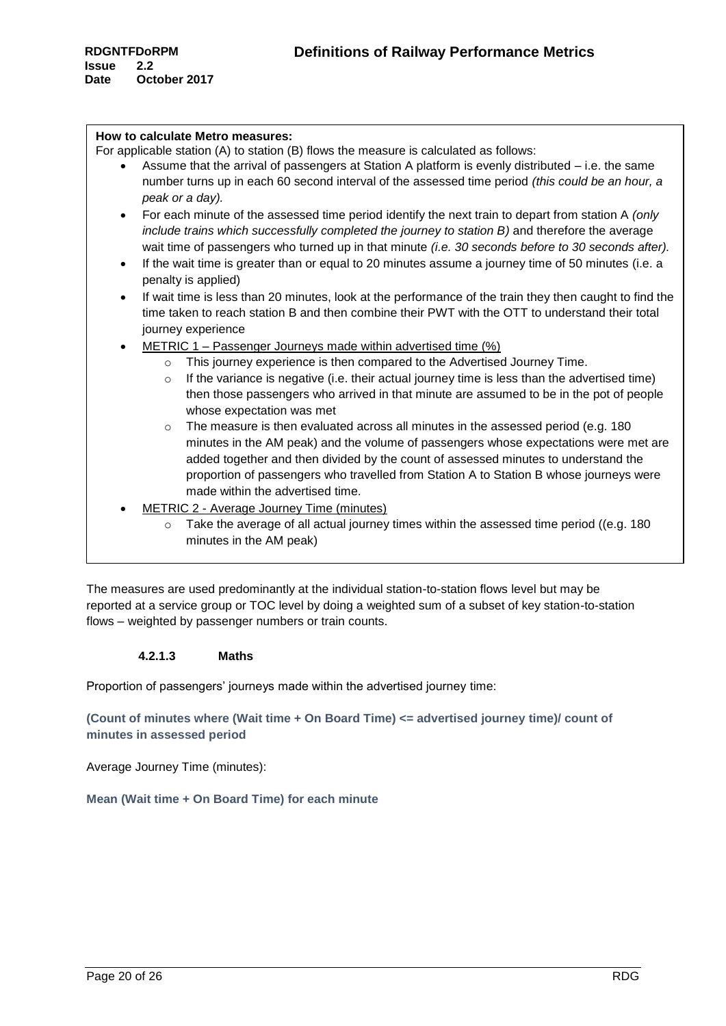| How to calculate Metro measures:<br>For applicable station (A) to station (B) flows the measure is calculated as follows:<br>Assume that the arrival of passengers at Station A platform is evenly distributed – i.e. the same<br>number turns up in each 60 second interval of the assessed time period (this could be an hour, a<br>peak or a day).                                                                                                               |  |  |  |
|---------------------------------------------------------------------------------------------------------------------------------------------------------------------------------------------------------------------------------------------------------------------------------------------------------------------------------------------------------------------------------------------------------------------------------------------------------------------|--|--|--|
| For each minute of the assessed time period identify the next train to depart from station A (only<br>$\bullet$<br>include trains which successfully completed the journey to station B) and therefore the average<br>wait time of passengers who turned up in that minute (i.e. 30 seconds before to 30 seconds after).<br>If the wait time is greater than or equal to 20 minutes assume a journey time of 50 minutes (i.e. a<br>$\bullet$<br>penalty is applied) |  |  |  |
| If wait time is less than 20 minutes, look at the performance of the train they then caught to find the<br>$\bullet$<br>time taken to reach station B and then combine their PWT with the OTT to understand their total<br>journey experience                                                                                                                                                                                                                       |  |  |  |
| METRIC 1 – Passenger Journeys made within advertised time (%)<br>$\bullet$                                                                                                                                                                                                                                                                                                                                                                                          |  |  |  |
| This journey experience is then compared to the Advertised Journey Time.<br>$\circ$                                                                                                                                                                                                                                                                                                                                                                                 |  |  |  |
| If the variance is negative (i.e. their actual journey time is less than the advertised time)<br>$\circ$<br>then those passengers who arrived in that minute are assumed to be in the pot of people<br>whose expectation was met                                                                                                                                                                                                                                    |  |  |  |
| The measure is then evaluated across all minutes in the assessed period (e.g. 180)<br>$\circ$<br>minutes in the AM peak) and the volume of passengers whose expectations were met are<br>added together and then divided by the count of assessed minutes to understand the<br>proportion of passengers who travelled from Station A to Station B whose journeys were<br>made within the advertised time.                                                           |  |  |  |
| <b>METRIC 2 - Average Journey Time (minutes)</b><br>Take the average of all actual journey times within the assessed time period ((e.g. 180)<br>$\circ$<br>minutes in the AM peak)                                                                                                                                                                                                                                                                                  |  |  |  |

The measures are used predominantly at the individual station-to-station flows level but may be reported at a service group or TOC level by doing a weighted sum of a subset of key station-to-station flows – weighted by passenger numbers or train counts.

#### **4.2.1.3 Maths**

Proportion of passengers' journeys made within the advertised journey time:

**(Count of minutes where (Wait time + On Board Time) <= advertised journey time)/ count of minutes in assessed period**

Average Journey Time (minutes):

**Mean (Wait time + On Board Time) for each minute**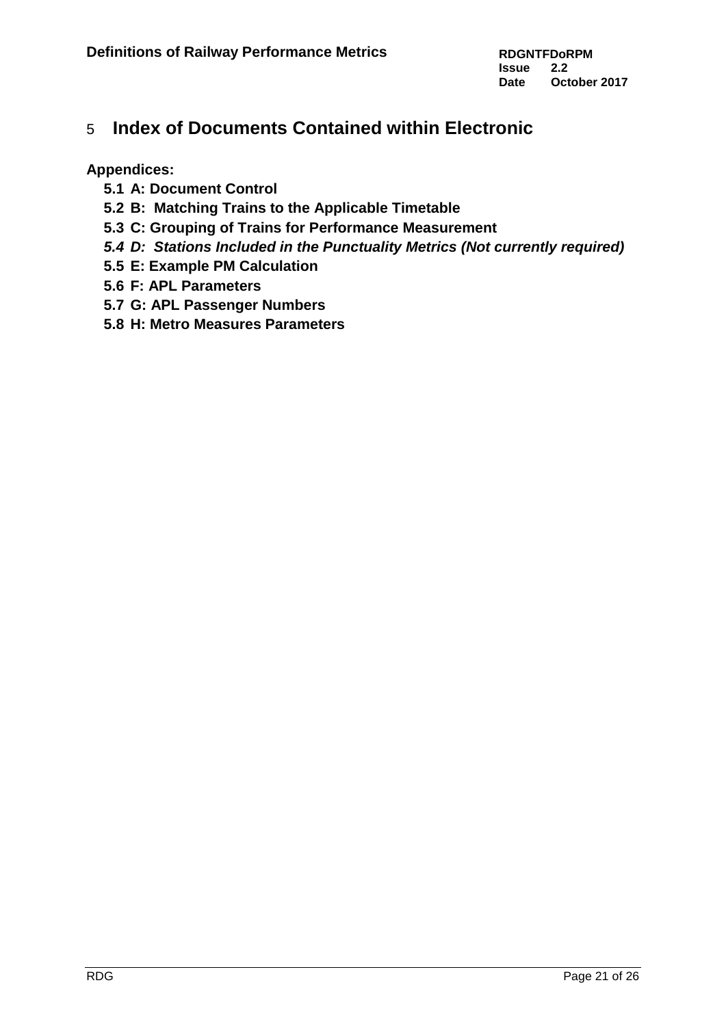# 5 **Index of Documents Contained within Electronic**

# **Appendices:**

- **5.1 A: Document Control**
- **5.2 B: Matching Trains to the Applicable Timetable**
- **5.3 C: Grouping of Trains for Performance Measurement**
- *5.4 D: Stations Included in the Punctuality Metrics (Not currently required)*
- **5.5 E: Example PM Calculation**
- **5.6 F: APL Parameters**
- **5.7 G: APL Passenger Numbers**
- **5.8 H: Metro Measures Parameters**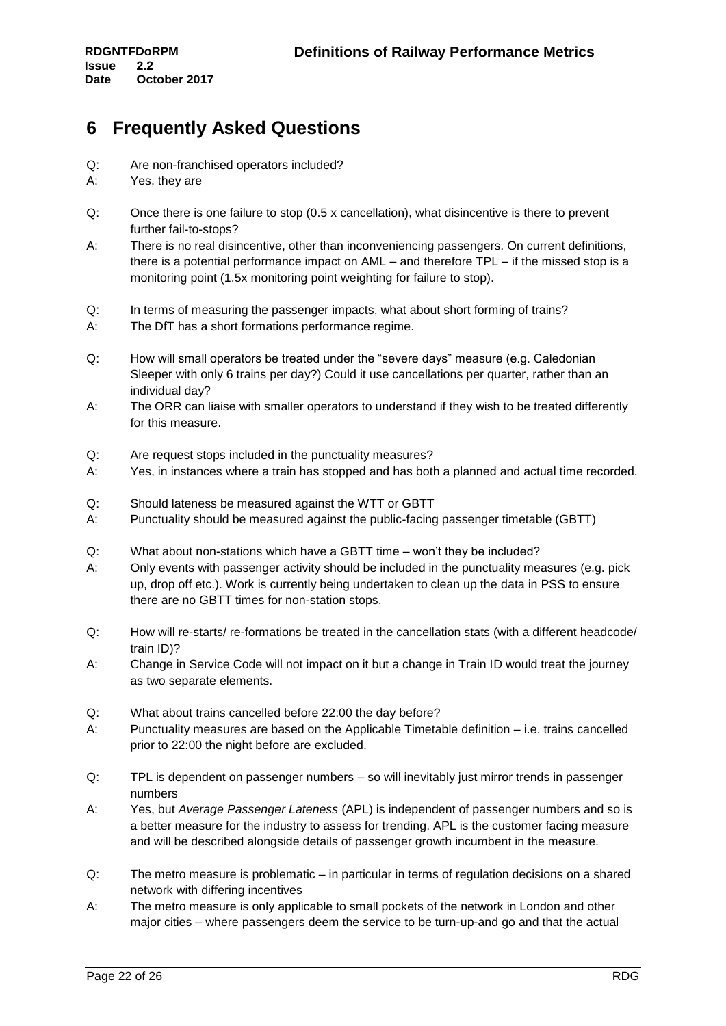# **6 Frequently Asked Questions**

- Q: Are non-franchised operators included?
- A: Yes, they are
- Q: Once there is one failure to stop (0.5 x cancellation), what disincentive is there to prevent further fail-to-stops?
- A: There is no real disincentive, other than inconveniencing passengers. On current definitions, there is a potential performance impact on AML – and therefore TPL – if the missed stop is a monitoring point (1.5x monitoring point weighting for failure to stop).
- Q: In terms of measuring the passenger impacts, what about short forming of trains?
- A: The DfT has a short formations performance regime.
- Q: How will small operators be treated under the "severe days" measure (e.g. Caledonian Sleeper with only 6 trains per day?) Could it use cancellations per quarter, rather than an individual day?
- A: The ORR can liaise with smaller operators to understand if they wish to be treated differently for this measure.
- Q: Are request stops included in the punctuality measures?
- A: Yes, in instances where a train has stopped and has both a planned and actual time recorded.
- Q: Should lateness be measured against the WTT or GBTT
- A: Punctuality should be measured against the public-facing passenger timetable (GBTT)
- Q: What about non-stations which have a GBTT time won't they be included?
- A: Only events with passenger activity should be included in the punctuality measures (e.g. pick up, drop off etc.). Work is currently being undertaken to clean up the data in PSS to ensure there are no GBTT times for non-station stops.
- Q: How will re-starts/ re-formations be treated in the cancellation stats (with a different headcode/ train ID)?
- A: Change in Service Code will not impact on it but a change in Train ID would treat the journey as two separate elements.
- Q: What about trains cancelled before 22:00 the day before?
- A: Punctuality measures are based on the Applicable Timetable definition i.e. trains cancelled prior to 22:00 the night before are excluded.
- Q: TPL is dependent on passenger numbers so will inevitably just mirror trends in passenger numbers
- A: Yes, but *Average Passenger Lateness* (APL) is independent of passenger numbers and so is a better measure for the industry to assess for trending. APL is the customer facing measure and will be described alongside details of passenger growth incumbent in the measure.
- Q: The metro measure is problematic in particular in terms of regulation decisions on a shared network with differing incentives
- A: The metro measure is only applicable to small pockets of the network in London and other major cities – where passengers deem the service to be turn-up-and go and that the actual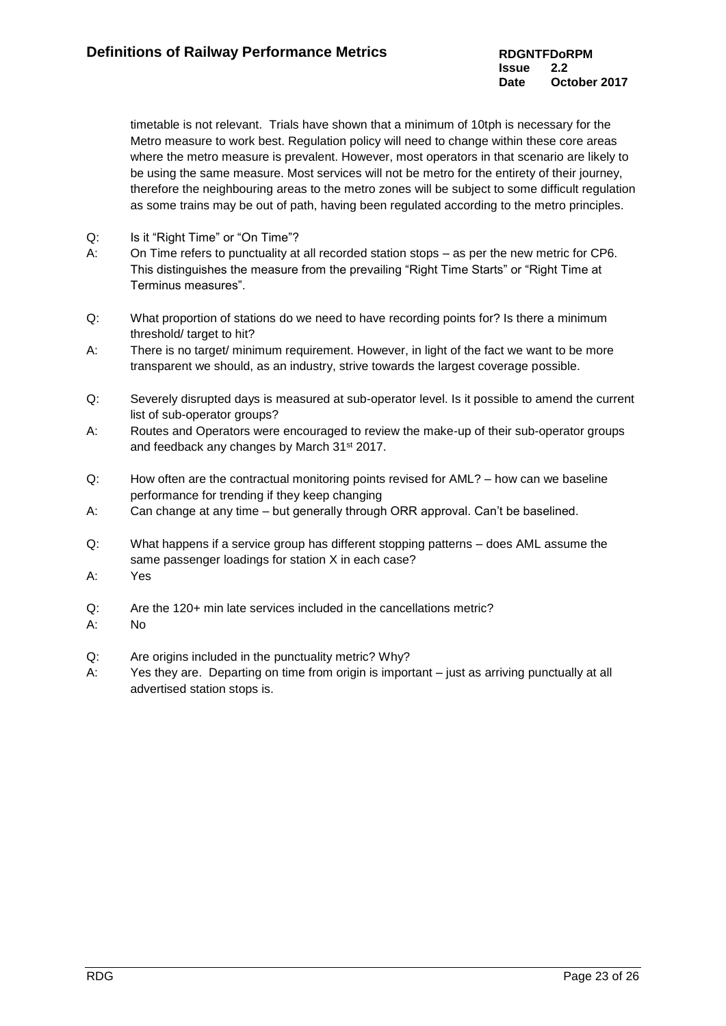timetable is not relevant. Trials have shown that a minimum of 10tph is necessary for the Metro measure to work best. Regulation policy will need to change within these core areas where the metro measure is prevalent. However, most operators in that scenario are likely to be using the same measure. Most services will not be metro for the entirety of their journey, therefore the neighbouring areas to the metro zones will be subject to some difficult regulation as some trains may be out of path, having been regulated according to the metro principles.

- Q: Is it "Right Time" or "On Time"?
- A: On Time refers to punctuality at all recorded station stops as per the new metric for CP6. This distinguishes the measure from the prevailing "Right Time Starts" or "Right Time at Terminus measures".
- Q: What proportion of stations do we need to have recording points for? Is there a minimum threshold/ target to hit?
- A: There is no target/ minimum requirement. However, in light of the fact we want to be more transparent we should, as an industry, strive towards the largest coverage possible.
- Q: Severely disrupted days is measured at sub-operator level. Is it possible to amend the current list of sub-operator groups?
- A: Routes and Operators were encouraged to review the make-up of their sub-operator groups and feedback any changes by March 31st 2017.
- Q: How often are the contractual monitoring points revised for AML? how can we baseline performance for trending if they keep changing
- A: Can change at any time but generally through ORR approval. Can't be baselined.
- Q: What happens if a service group has different stopping patterns does AML assume the same passenger loadings for station X in each case?
- A: Yes
- Q: Are the 120+ min late services included in the cancellations metric?
- A: No
- Q: Are origins included in the punctuality metric? Why?
- A: Yes they are. Departing on time from origin is important just as arriving punctually at all advertised station stops is.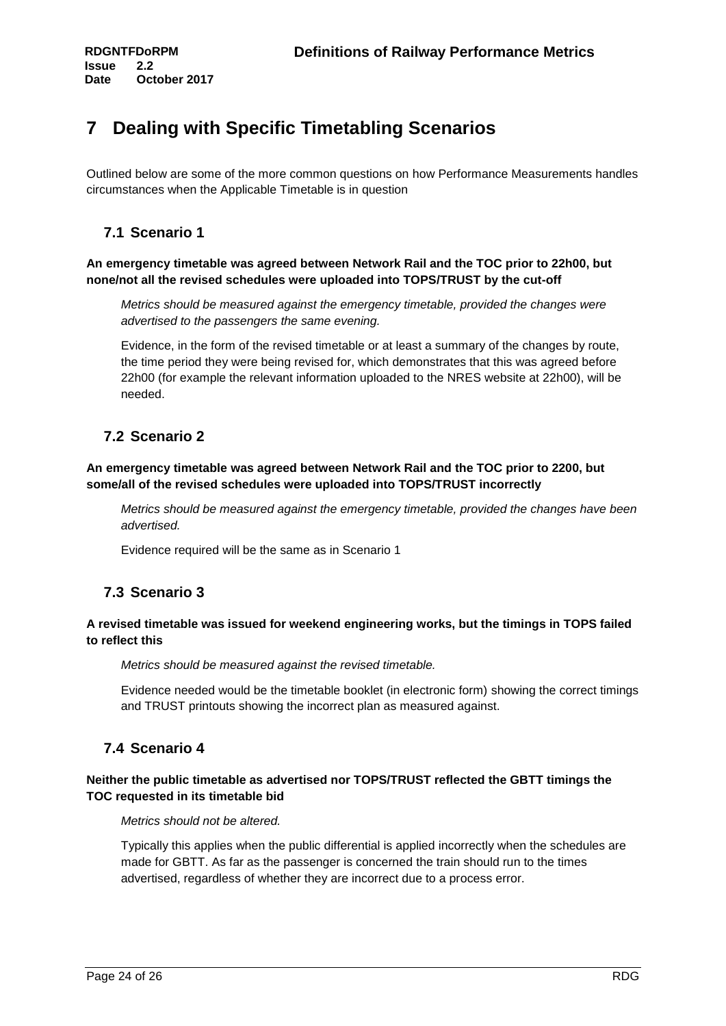# **7 Dealing with Specific Timetabling Scenarios**

Outlined below are some of the more common questions on how Performance Measurements handles circumstances when the Applicable Timetable is in question

# **7.1 Scenario 1**

**An emergency timetable was agreed between Network Rail and the TOC prior to 22h00, but none/not all the revised schedules were uploaded into TOPS/TRUST by the cut-off**

*Metrics should be measured against the emergency timetable, provided the changes were advertised to the passengers the same evening.*

Evidence, in the form of the revised timetable or at least a summary of the changes by route, the time period they were being revised for, which demonstrates that this was agreed before 22h00 (for example the relevant information uploaded to the NRES website at 22h00), will be needed.

# **7.2 Scenario 2**

### **An emergency timetable was agreed between Network Rail and the TOC prior to 2200, but some/all of the revised schedules were uploaded into TOPS/TRUST incorrectly**

*Metrics should be measured against the emergency timetable, provided the changes have been advertised.*

Evidence required will be the same as in Scenario 1

# **7.3 Scenario 3**

### **A revised timetable was issued for weekend engineering works, but the timings in TOPS failed to reflect this**

*Metrics should be measured against the revised timetable.*

Evidence needed would be the timetable booklet (in electronic form) showing the correct timings and TRUST printouts showing the incorrect plan as measured against.

## **7.4 Scenario 4**

## **Neither the public timetable as advertised nor TOPS/TRUST reflected the GBTT timings the TOC requested in its timetable bid**

*Metrics should not be altered.*

Typically this applies when the public differential is applied incorrectly when the schedules are made for GBTT. As far as the passenger is concerned the train should run to the times advertised, regardless of whether they are incorrect due to a process error.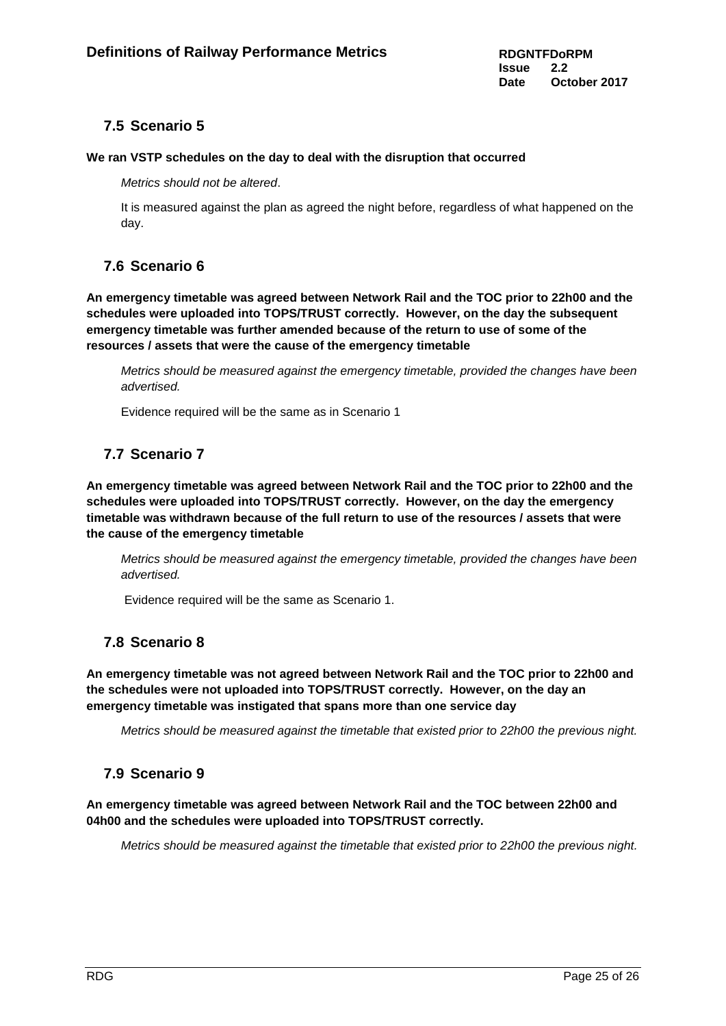# **7.5 Scenario 5**

#### **We ran VSTP schedules on the day to deal with the disruption that occurred**

*Metrics should not be altered*.

It is measured against the plan as agreed the night before, regardless of what happened on the day.

# **7.6 Scenario 6**

**An emergency timetable was agreed between Network Rail and the TOC prior to 22h00 and the schedules were uploaded into TOPS/TRUST correctly. However, on the day the subsequent emergency timetable was further amended because of the return to use of some of the resources / assets that were the cause of the emergency timetable**

*Metrics should be measured against the emergency timetable, provided the changes have been advertised.*

Evidence required will be the same as in Scenario 1

# **7.7 Scenario 7**

**An emergency timetable was agreed between Network Rail and the TOC prior to 22h00 and the schedules were uploaded into TOPS/TRUST correctly. However, on the day the emergency timetable was withdrawn because of the full return to use of the resources / assets that were the cause of the emergency timetable**

*Metrics should be measured against the emergency timetable, provided the changes have been advertised.*

Evidence required will be the same as Scenario 1.

# **7.8 Scenario 8**

**An emergency timetable was not agreed between Network Rail and the TOC prior to 22h00 and the schedules were not uploaded into TOPS/TRUST correctly. However, on the day an emergency timetable was instigated that spans more than one service day**

*Metrics should be measured against the timetable that existed prior to 22h00 the previous night.*

# **7.9 Scenario 9**

**An emergency timetable was agreed between Network Rail and the TOC between 22h00 and 04h00 and the schedules were uploaded into TOPS/TRUST correctly.**

*Metrics should be measured against the timetable that existed prior to 22h00 the previous night.*